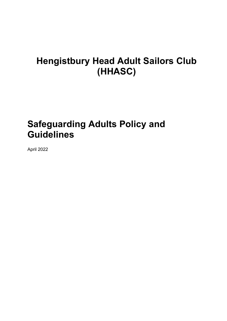# **Hengistbury Head Adult Sailors Club (HHASC)**

# **Safeguarding Adults Policy and Guidelines**

April 2022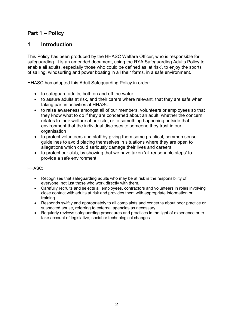# **Part 1 – Policy**

# **1 Introduction**

This Policy has been produced by the HHASC Welfare Officer, who is responsible for safeguarding. It is an amended document, using the RYA Safeguarding Adults Policy to enable all adults, especially those who could be defined as 'at risk', to enjoy the sports of sailing, windsurfing and power boating in all their forms, in a safe environment.

HHASC has adopted this Adult Safeguarding Policy in order:

- to safeguard adults, both on and off the water
- to assure adults at risk, and their carers where relevant, that they are safe when taking part in activities at HHASC
- to raise awareness amongst all of our members, volunteers or employees so that they know what to do if they are concerned about an adult, whether the concern relates to their welfare at our site, or to something happening outside that environment that the individual discloses to someone they trust in our organisation
- to protect volunteers and staff by giving them some practical, common sense guidelines to avoid placing themselves in situations where they are open to allegations which could seriously damage their lives and careers
- to protect our club, by showing that we have taken 'all reasonable steps' to provide a safe environment.

#### HHASC<sup>.</sup>

- Recognises that safeguarding adults who may be at risk is the responsibility of everyone, not just those who work directly with them.
- Carefully recruits and selects all employees, contractors and volunteers in roles involving close contact with adults at risk and provides them with appropriate information or training.
- Responds swiftly and appropriately to all complaints and concerns about poor practice or suspected abuse, referring to external agencies as necessary.
- Regularly reviews safeguarding procedures and practices in the light of experience or to take account of legislative, social or technological changes.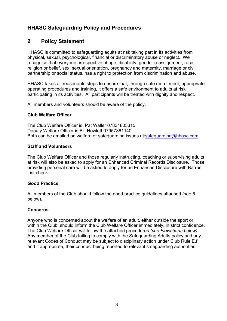# **HHASC Safeguarding Policy and Procedures**

# **2 Policy Statement**

HHASC is committed to safeguarding adults at risk taking part in its activities from physical, sexual, psychological, financial or discriminatory abuse or neglect. We recognise that everyone, irrespective of age, disability, gender reassignment, race, religion or belief, sex, sexual orientation, pregnancy and maternity, marriage or civil partnership or social status, has a right to protection from discrimination and abuse.

HHASC takes all reasonable steps to ensure that, through safe recruitment, appropriate operating procedures and training, it offers a safe environment to adults at risk participating in its activities. All participants will be treated with dignity and respect.

All members and volunteers should be aware of the policy.

# **Club Welfare Officer**

The Club Welfare Officer is: Pat Waller 07831803315 Deputy Welfare Officer is Bill Howlett 07957861140 Both can be emailed on welfare or safeguarding issues at:safeguarding@hhasc.com

# **Staff and Volunteers**

The Club Welfare Officer and those regularly instructing, coaching or supervising adults at risk will also be asked to apply for an Enhanced Criminal Records Disclosure. Those providing personal care will be asked to apply for an Enhanced Disclosure with Barred List check.

# **Good Practice**

All members of the Club should follow the good practice guidelines attached (see 5 below).

# **Concerns**

Anyone who is concerned about the welfare of an adult, either outside the sport or within the Club, should inform the Club Welfare Officer immediately, in strict confidence. The Club Welfare Officer will follow the attached procedures *(see Flowcharts below)*. Any member of the Club failing to comply with the Safeguarding Adults policy and any relevant Codes of Conduct may be subject to disciplinary action under Club Rule E.f, and if appropriate, their conduct being reported to relevant safeguarding authorities.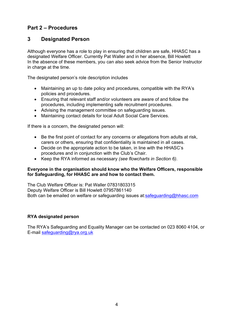# **Part 2 – Procedures**

# **3 Designated Person**

Although everyone has a role to play in ensuring that children are safe, HHASC has a designated Welfare Officer. Currently Pat Waller and in her absence, Bill Howlett In the absence of these members, you can also seek advice from the Senior Instructor in charge at the time.

The designated person's role description includes

- Maintaining an up to date policy and procedures, compatible with the RYA's policies and procedures.
- Ensuring that relevant staff and/or volunteers are aware of and follow the procedures, including implementing safe recruitment procedures.
- Advising the management committee on safeguarding issues.
- Maintaining contact details for local Adult Social Care Services.

If there is a concern, the designated person will:

- Be the first point of contact for any concerns or allegations from adults at risk, carers or others, ensuring that confidentiality is maintained in all cases.
- Decide on the appropriate action to be taken, in line with the HHASC's procedures and in conjunction with the Club's Chair.
- Keep the RYA informed as necessary *(see flowcharts in Section 6)*.

#### **Everyone in the organisation should know who the Welfare Officers, responsible for Safeguarding, for HHASC are and how to contact them.**

The Club Welfare Officer is: Pat Waller 07831803315 Deputy Welfare Officer is Bill Howlett 07957861140 Both can be emailed on welfare or safeguarding issues at:safeguarding@hhasc.com

# **RYA designated person**

The RYA's Safeguarding and Equality Manager can be contacted on 023 8060 4104, or E-mail safeguarding@rya.org.uk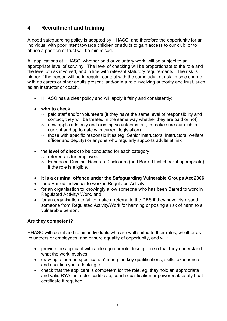# **4 Recruitment and training**

A good safeguarding policy is adopted by HHASC, and therefore the opportunity for an individual with poor intent towards children or adults to gain access to our club, or to abuse a position of trust will be minimised.

All applications at HHASC, whether paid or voluntary work, will be subject to an appropriate level of scrutiny. The level of checking will be proportionate to the role and the level of risk involved, and in line with relevant statutory requirements. The risk is higher if the person will be in regular contact with the same adult at risk, in sole charge with no carers or other adults present, and/or in a role involving authority and trust, such as an instructor or coach.

- HHASC has a clear policy and will apply it fairly and consistently:
- **who to check** 
	- o paid staff and/or volunteers (if they have the same level of responsibility and contact, they will be treated in the same way whether they are paid or not)
	- o new applicants only and existing volunteers/staff, to make sure our club is current and up to date with current legislation)
	- o those with specific responsibilities (eg. Senior instructors, Instructors, welfare officer and deputy) or anyone who regularly supports adults at risk
- the **level of check** to be conducted for each category
	- o references for employees
	- o Enhanced Criminal Records Disclosure (and Barred List check if appropriate), if the role is eligible.
- **It is a criminal offence under the Safeguarding Vulnerable Groups Act 2006**
- for a Barred individual to work in Regulated Activity,
- for an organisation to knowingly allow someone who has been Barred to work in Regulated Activity/ Work, and
- for an organisation to fail to make a referral to the DBS if they have dismissed someone from Regulated Activity/Work for harming or posing a risk of harm to a vulnerable person.

# **Are they competent?**

HHASC will recruit and retain individuals who are well suited to their roles, whether as volunteers or employees, and ensure equality of opportunity, and will:

- provide the applicant with a clear job or role description so that they understand what the work involves
- draw up a 'person specification' listing the key qualifications, skills, experience and qualities you're looking for
- check that the applicant is competent for the role, eg. they hold an appropriate and valid RYA instructor certificate, coach qualification or powerboat/safety boat certificate if required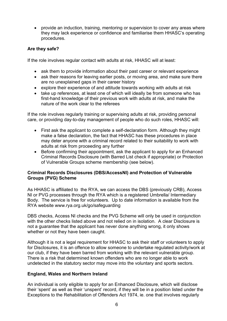provide an induction, training, mentoring or supervision to cover any areas where they may lack experience or confidence and familiarise them HHASC's operating procedures.

## **Are they safe?**

If the role involves regular contact with adults at risk, HHASC will at least:

- ask them to provide information about their past career or relevant experience
- ask their reasons for leaving earlier posts, or moving area, and make sure there are no unexplained gaps in their career history
- explore their experience of and attitude towards working with adults at risk
- take up references, at least one of which will ideally be from someone who has first-hand knowledge of their previous work with adults at risk, and make the nature of the work clear to the referees

If the role involves regularly training or supervising adults at risk, providing personal care, or providing day-to-day management of people who do such roles, HHASC will:

- First ask the applicant to complete a self-declaration form*.* Although they might make a false declaration, the fact that HHASC has these procedures in place may deter anyone with a criminal record related to their suitability to work with adults at risk from proceeding any further
- Before confirming their appointment, ask the applicant to apply for an Enhanced Criminal Records Disclosure (with Barred List check if appropriate) or Protection of Vulnerable Groups scheme membership (see below).

#### **Criminal Records Disclosures (DBS/AccessNI) and Protection of Vulnerable Groups (PVG) Scheme**

As HHASC is affiliated to the RYA, we can access the DBS (previously CRB), Access NI or PVG processes through the RYA which is a registered Umbrella/ Intermediary Body. The service is free for volunteers. Up to date information is available from the RYA website www.rya.org.uk/go/safeguarding

DBS checks, Access NI checks and the PVG Scheme will only be used in conjunction with the other checks listed above and not relied on in isolation. A clear Disclosure is not a guarantee that the applicant has never done anything wrong, it only shows whether or not they have been caught.

Although it is not a legal requirement for HHASC to ask their staff or volunteers to apply for Disclosures, it is an offence to allow someone to undertake regulated activity/work at our club, if they have been barred from working with the relevant vulnerable group. There is a risk that determined known offenders who are no longer able to work undetected in the statutory sector may move into the voluntary and sports sectors.

#### **England, Wales and Northern Ireland**

An individual is only eligible to apply for an Enhanced Disclosure, which will disclose their 'spent' as well as their 'unspent' record, if they will be in a position listed under the Exceptions to the Rehabilitation of Offenders Act 1974, ie. one that involves regularly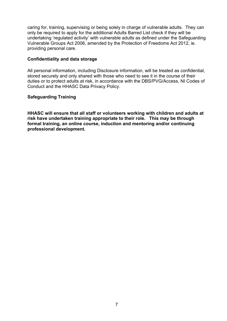caring for, training, supervising or being solely in charge of vulnerable adults. They can only be required to apply for the additional Adults Barred List check if they will be undertaking 'regulated activity' with vulnerable adults as defined under the Safeguarding Vulnerable Groups Act 2006, amended by the Protection of Freedoms Act 2012, ie. providing personal care.

#### **Confidentiality and data storage**

All personal information, including Disclosure information, will be treated as confidential, stored securely and only shared with those who need to see it in the course of their duties or to protect adults at risk, in accordance with the DBS/PVG/Access, NI Codes of Conduct and the HHASC Data Privacy Policy.

## **Safeguarding Training**

**HHASC will ensure that all staff or volunteers working with children and adults at risk have undertaken training appropriate to their role. This may be through formal training, an online course, induction and mentoring and/or continuing professional development.**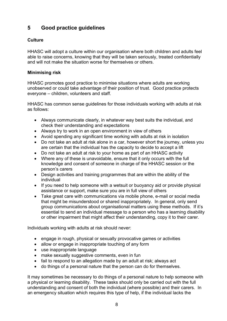# **5 Good practice guidelines**

# **Culture**

HHASC will adopt a culture within our organisation where both children and adults feel able to raise concerns, knowing that they will be taken seriously, treated confidentially and will not make the situation worse for themselves or others.

# **Minimising risk**

HHASC promotes good practice to minimise situations where adults are working unobserved or could take advantage of their position of trust. Good practice protects everyone – children, volunteers and staff.

HHASC has common sense guidelines for those individuals working with adults at risk as follows:

- Always communicate clearly, in whatever way best suits the individual, and check their understanding and expectations
- Always try to work in an open environment in view of others
- Avoid spending any significant time working with adults at risk in isolation
- Do not take an adult at risk alone in a car, however short the journey, unless you are certain that the individual has the capacity to decide to accept a lift
- Do not take an adult at risk to your home as part of an HHASC activity
- Where any of these is unavoidable, ensure that it only occurs with the full knowledge and consent of someone in charge of the HHASC session or the person's carers
- Design activities and training programmes that are within the ability of the individual
- If you need to help someone with a wetsuit or buoyancy aid or provide physical assistance or support, make sure you are in full view of others
- Take great care with communications via mobile phone, e-mail or social media that might be misunderstood or shared inappropriately. In general, only send group communications about organisational matters using these methods. If it's essential to send an individual message to a person who has a learning disability or other impairment that might affect their understanding, copy it to their carer.

Individuals working with adults at risk should never:

- engage in rough, physical or sexually provocative games or activities
- allow or engage in inappropriate touching of any form
- use inappropriate language
- make sexually suggestive comments, even in fun
- fail to respond to an allegation made by an adult at risk: always act
- do things of a personal nature that the person can do for themselves.

It may sometimes be necessary to do things of a personal nature to help someone with a physical or learning disability. These tasks should only be carried out with the full understanding and consent of both the individual (where possible) and their carers. In an emergency situation which requires this type of help, if the individual lacks the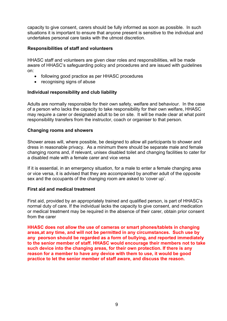capacity to give consent, carers should be fully informed as soon as possible. In such situations it is important to ensure that anyone present is sensitive to the individual and undertakes personal care tasks with the utmost discretion.

## **Responsibilities of staff and volunteers**

HHASC staff and volunteers are given clear roles and responsibilities, will be made aware of HHASC's safeguarding policy and procedures and are issued with guidelines on:

- following good practice as per HHASC procedures
- recognising signs of abuse

## **Individual responsibility and club liability**

Adults are normally responsible for their own safety, welfare and behaviour. In the case of a person who lacks the capacity to take responsibility for their own welfare, HHASC may require a carer or designated adult to be on site. It will be made clear at what point responsibility transfers from the instructor, coach or organiser to that person.

#### **Changing rooms and showers**

Shower areas will, where possible, be designed to allow all participants to shower and dress in reasonable privacy. As a minimum there should be separate male and female changing rooms and, if relevant, unisex disabled toilet and changing facilities to cater for a disabled male with a female carer and vice versa

If it is essential, in an emergency situation, for a male to enter a female changing area or vice versa, it is advised that they are accompanied by another adult of the opposite sex and the occupants of the changing room are asked to 'cover up'.

#### **First aid and medical treatment**

First aid, provided by an appropriately trained and qualified person, is part of HHASC's normal duty of care. If the individual lacks the capacity to give consent, and medication or medical treatment may be required in the absence of their carer, obtain prior consent from the carer

**HHASC does not allow the use of cameras or smart phones/tablets in changing areas,at any time, and will not be permitted in any circumstances. Such use by any peorson should be regarded as a form of bullying, and reported immediately to the senior member of staff. HHASC would encourage their members not to take such device into the changing areas, for their own protection. If there is any reason for a member to have any device with them to use, it would be good practice to let the senior member of staff aware, and discuss the reason.**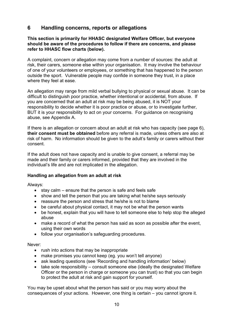# **6 Handling concerns, reports or allegations**

#### **This section is primarily for HHASC designated Welfare Officer, but everyone should be aware of the procedures to follow if there are concerns, and please refer to HHASC flow charts (below).**

A complaint, concern or allegation may come from a number of sources: the adult at risk, their carers, someone else within your organisation. It may involve the behaviour of one of your volunteers or employees, or something that has happened to the person outside the sport. Vulnerable people may confide in someone they trust, in a place where they feel at ease.

An allegation may range from mild verbal bullying to physical or sexual abuse. It can be difficult to distinguish poor practice, whether intentional or accidental, from abuse. If you are concerned that an adult at risk may be being abused, it is NOT your responsibility to decide whether it is poor practice or abuse, or to investigate further, BUT it is your responsibility to act on your concerns. For guidance on recognising abuse, see Appendix A.

If there is an allegation or concern about an adult at risk who has capacity (see page 6), **their consent must be obtained** before any referral is made, unless others are also at risk of harm. No information should be given to the adult's family or carers without their consent.

If the adult does not have capacity and is unable to give consent, a referral may be made and their family or carers informed, provided that they are involved in the individual's life and are not implicated in the allegation.

#### **Handling an allegation from an adult at risk**

Always:

- $\bullet$  stay calm ensure that the person is safe and feels safe
- show and tell the person that you are taking what he/she says seriously
- reassure the person and stress that he/she is not to blame
- be careful about physical contact, it may not be what the person wants
- be honest, explain that you will have to tell someone else to help stop the alleged abuse
- make a record of what the person has said as soon as possible after the event, using their own words
- follow your organisation's safeguarding procedures.

Never:

- rush into actions that may be inappropriate
- make promises you cannot keep (eg. you won't tell anyone)
- ask leading questions (see 'Recording and handling information' below)
- $\bullet$  take sole responsibility consult someone else (ideally the designated Welfare Officer or the person in charge or someone you can trust) so that you can begin to protect the adult at risk and gain support for yourself.

You may be upset about what the person has said or you may worry about the consequences of your actions. However, one thing is certain – you cannot ignore it.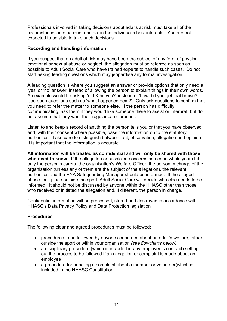Professionals involved in taking decisions about adults at risk must take all of the circumstances into account and act in the individual's best interests. You are not expected to be able to take such decisions.

## **Recording and handling information**

If you suspect that an adult at risk may have been the subject of any form of physical, emotional or sexual abuse or neglect, the allegation must be referred as soon as possible to Adult Social Care who have trained experts to handle such cases. Do not start asking leading questions which may jeopardise any formal investigation.

A leading question is where you suggest an answer or provide options that only need a 'yes' or 'no' answer, instead of allowing the person to explain things in their own words. An example would be asking 'did X hit you?' instead of 'how did you get that bruise?'. Use open questions such as 'what happened next?'. Only ask questions to confirm that you need to refer the matter to someone else. If the person has difficulty communicating, ask them if they would like someone there to assist or interpret, but do not assume that they want their regular carer present.

Listen to and keep a record of anything the person tells you or that you have observed and, with their consent where possible, pass the information on to the statutory authorities Take care to distinguish between fact, observation, allegation and opinion. It is important that the information is accurate.

**All information will be treated as confidential and will only be shared with those who need to know**. If the allegation or suspicion concerns someone within your club, only the person's carers, the organisation's Welfare Officer, the person in charge of the organisation (unless any of them are the subject of the allegation), the relevant authorities and the RYA Safeguarding Manager should be informed. If the alleged abuse took place outside the sport, Adult Social Care will decide who else needs to be informed. It should not be discussed by anyone within the HHASC other than those who received or initiated the allegation and, if different, the person in charge.

Confidential information will be processed, stored and destroyed in accordance with HHASC's Data Privacy Policy and Data Protection legislation

#### **Procedures**

The following clear and agreed procedures must be followed:

- procedures to be followed by anyone concerned about an adult's welfare, either outside the sport or within your organisation *(see flowcharts below)*
- a disciplinary procedure (which is included in any employee's contract) setting out the process to be followed if an allegation or complaint is made about an employee
- a procedure for handling a complaint about a member or volunteer(which is included in the HHASC Constitution.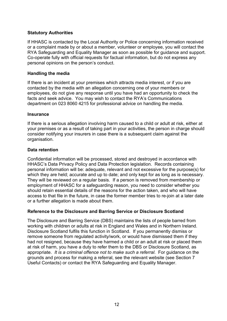## **Statutory Authorities**

If HHASC is contacted by the Local Authority or Police concerning information received or a complaint made by or about a member, volunteer or employee, you will contact the RYA Safeguarding and Equality Manager as soon as possible for guidance and support. Co-operate fully with official requests for factual information, but do not express any personal opinions on the person's conduct.

## **Handling the media**

If there is an incident at your premises which attracts media interest, or if you are contacted by the media with an allegation concerning one of your members or employees, do not give any response until you have had an opportunity to check the facts and seek advice. You may wish to contact the RYA's Communications department on 023 8060 4215 for professional advice on handling the media.

#### **Insurance**

If there is a serious allegation involving harm caused to a child or adult at risk, either at your premises or as a result of taking part in your activities, the person in charge should consider notifying your insurers in case there is a subsequent claim against the organisation.

#### **Data retention**

Confidential information will be processed, stored and destroyed in accordance with HHASC's Data Privacy Policy and Data Protection legislation. Records containing personal information will be: adequate, relevant and not excessive for the purpose(s) for which they are held; accurate and up to date; and only kept for as long as is necessary. They will be reviewed on a regular basis. If a person is removed from membership or employment of HHASC for a safeguarding reason, you need to consider whether you should retain essential details of the reasons for the action taken, and who will have access to that file in the future, in case the former member tries to re-join at a later date or a further allegation is made about them.

#### **Reference to the Disclosure and Barring Service or Disclosure Scotland**

The Disclosure and Barring Service (DBS) maintains the lists of people barred from working with children or adults at risk in England and Wales and in Northern Ireland. Disclosure Scotland fulfils this function in Scotland. If you permanently dismiss or remove someone from regulated activity/work, or would have dismissed them if they had not resigned, because they have harmed a child or an adult at risk or placed them at risk of harm, you have a duty to refer them to the DBS or Disclosure Scotland, as appropriate. *It is a criminal offence not to make such a referral*. For guidance on the grounds and process for making a referral, see the relevant website (see Section 7 Useful Contacts) or contact the RYA Safeguarding and Equality Manager.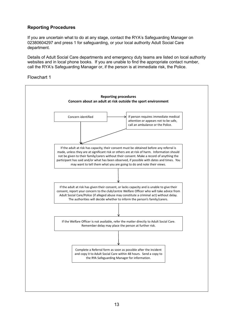# **Reporting Procedures**

If you are uncertain what to do at any stage, contact the RYA's Safeguarding Manager on 02380604297 and press 1 for safeguarding, or your local authority Adult Social Care department.

Details of Adult Social Care departments and emergency duty teams are listed on local authority websites and in local phone books. If you are unable to find the appropriate contact number, call the RYA's Safeguarding Manager or, if the person is at immediate risk, the Police.

Flowchart 1

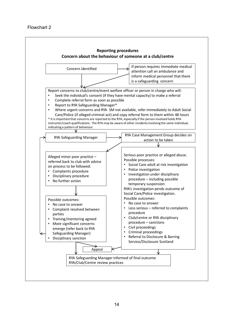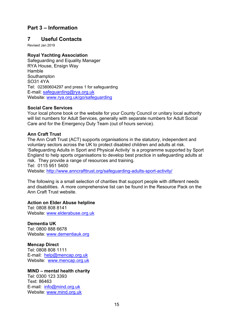# **Part 3 – Information**

# **7 Useful Contacts**

Revised Jan 2019

# **Royal Yachting Association**

Safeguarding and Equality Manager RYA House, Ensign Way Hamble Southampton SO31 4YA Tel: 02380604297 and press 1 for safeguarding E-mail: safeguarding@rya.org.uk Website: www.rya.org.uk/go/safeguarding

## **Social Care Services**

Your local phone book or the website for your County Council or unitary local authority will list numbers for Adult Services, generally with separate numbers for Adult Social Care and for the Emergency Duty Team (out of hours service).

## **Ann Craft Trust**

The Ann Craft Trust (ACT) supports organisations in the statutory, independent and voluntary sectors across the UK to protect disabled children and adults at risk. 'Safeguarding Adults in Sport and Physical Activity' is a programme supported by Sport England to help sports organisations to develop best practice in safeguarding adults at risk. They provide a range of resources and training. Tel: 0115 951 5400

Website: http://www.anncrafttrust.org/safeguarding-adults-sport-activity/

The following is a small selection of charities that support people with different needs and disabilities. A more comprehensive list can be found in the Resource Pack on the Ann Craft Trust website.

# **Action on Elder Abuse helpline**

Tel: 0808 808 8141 Website: www.elderabuse.org.uk

**Dementia UK** Tel: 0800 888 6678 Website: www.dementiauk.org

**Mencap Direct**  Tel: 0808 808 1111 E-mail: help@mencap.org.uk Website: www.mencap.org.uk

# **MIND – mental health charity**

Tel: 0300 123 3393 Text: 86463 E-mail: info@mind.org.uk Website: www.mind.org.uk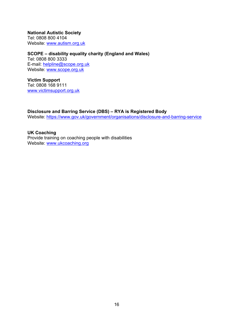**National Autistic Society**  Tel: 0808 800 4104 Website: www.autism.org.uk

**SCOPE – disability equality charity (England and Wales)** Tel: 0808 800 3333 E-mail: helpline@scope.org.uk Website: www.scope.org.uk

**Victim Support** Tel: 0808 168 9111 www.victimsupport.org.uk

**Disclosure and Barring Service (DBS) – RYA is Registered Body** Website: https://www.gov.uk/government/organisations/disclosure-and-barring-service

**UK Coaching**  Provide training on coaching people with disabilities Website: www.ukcoaching.org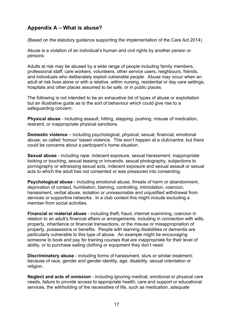# **Appendix A – What is abuse?**

(Based on the statutory guidance supporting the implementation of the Care Act 2014)

Abuse is a violation of an individual's human and civil rights by another person or persons.

Adults at risk may be abused by a wide range of people including family members, professional staff, care workers, volunteers, other service users, neighbours, friends, and individuals who deliberately exploit vulnerable people. Abuse may occur when an adult at risk lives alone or with a relative, within nursing, residential or day care settings, hospitals and other places assumed to be safe, or in public places.

The following is not intended to be an exhaustive list of types of abuse or exploitation but an illustrative guide as to the sort of behaviour which could give rise to a safeguarding concern:

**Physical abuse** - including assault, hitting, slapping, pushing, misuse of medication, restraint, or inappropriate physical sanctions.

**Domestic violence** – including psychological, physical, sexual, financial, emotional abuse; so called 'honour' based violence. This won't happen at a club/centre, but there could be concerns about a participant's home situation.

**Sexual abuse** - including rape, indecent exposure, sexual harassment, inappropriate looking or touching, sexual teasing or innuendo, sexual photography, subjections to pornography or witnessing sexual acts, indecent exposure and sexual assault or sexual acts to which the adult has not consented or was pressured into consenting.

**Psychological abuse** - including emotional abuse, threats of harm or abandonment, deprivation of contact, humiliation, blaming, controlling, intimidation, coercion, harassment, verbal abuse, isolation or unreasonable and unjustified withdrawal from services or supportive networks. In a club context this might include excluding a member from social activities.

**Financial or material abuse** - including theft, fraud, internet scamming, coercion in relation to an adult's financial affairs or arrangements, including in connection with wills, property, inheritance or financial transactions, or the misuse or misappropriation of property, possessions or benefits. People with learning disabilities or dementia are particularly vulnerable to this type of abuse. An example might be encouraging someone to book and pay for training courses that are inappropriate for their level of ability, or to purchase sailing clothing or equipment they don't need.

**Discriminatory abuse** - including forms of harassment, slurs or similar treatment; because of race, gender and gender identity, age, disability, sexual orientation or religion.

**Neglect and acts of omission** - including ignoring medical, emotional or physical care needs, failure to provide access to appropriate health, care and support or educational services, the withholding of the necessities of life, such as medication, adequate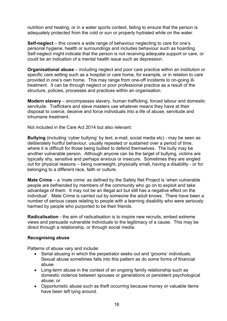nutrition and heating; or in a water sports context, failing to ensure that the person is adequately protected from the cold or sun or properly hydrated while on the water.

**Self-neglect** – this covers a wide range of behaviour neglecting to care for one's personal hygiene, health or surroundings and includes behaviour such as hoarding. Self-neglect might indicate that the person is not receiving adequate support or care, or could be an indication of a mental health issue such as depression.

**Organisational abuse** – including neglect and poor care practice within an institution or specific care setting such as a hospital or care home, for example, or in relation to care provided in one's own home. This may range from one-off incidents to on-going illtreatment. It can be through neglect or poor professional practice as a result of the structure, policies, processes and practices within an organisation.

**Modern slavery** – encompasses slavery, human trafficking, forced labour and domestic servitude. Traffickers and slave masters use whatever means they have at their disposal to coerce, deceive and force individuals into a life of abuse, servitude and inhumane treatment.

Not included in the Care Act 2014 but also relevant:

**Bullying** (including 'cyber bullying' by text, e-mail, social media etc) - may be seen as deliberately hurtful behaviour, usually repeated or sustained over a period of time, where it is difficult for those being bullied to defend themselves. The bully may be another vulnerable person. Although anyone can be the target of bullying, victims are typically shy, sensitive and perhaps anxious or insecure. Sometimes they are singled out for physical reasons – being overweight, physically small, having a disability - or for belonging to a different race, faith or culture.

**Mate Crime** – a 'mate crime' as defined by the Safety Net Project is 'when vulnerable people are befriended by members of the community who go on to exploit and take advantage of them. It may not be an illegal act but still has a negative effect on the individual'. Mate Crime is carried out by someone the adult knows. There have been a number of serious cases relating to people with a learning disability who were seriously harmed by people who purported to be their friends.

**Radicalisation** - the aim of radicalisation is to inspire new recruits, embed extreme views and persuade vulnerable individuals to the legitimacy of a cause. This may be direct through a relationship, or through social media.

#### **Recognising abuse**

Patterns of abuse vary and include:

- Serial abusing in which the perpetrator seeks out and 'grooms' individuals. Sexual abuse sometimes falls into this pattern as do some forms of financial abuse
- Long-term abuse in the context of an ongoing family relationship such as domestic violence between spouses or generations or persistent psychological abuse; or
- Opportunistic abuse such as theft occurring because money or valuable items have been left lying around.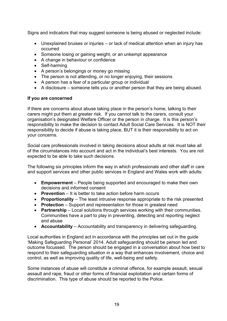Signs and indicators that may suggest someone is being abused or neglected include:

- Unexplained bruises or injuries or lack of medical attention when an injury has occurred
- Someone losing or gaining weight, or an unkempt appearance
- A change in behaviour or confidence
- Self-harming
- A person's belongings or money go missing
- The person is not attending, or no longer enjoying, their sessions
- A person has a fear of a particular group or individual
- A disclosure someone tells you or another person that they are being abused.

# **If you are concerned**

If there are concerns about abuse taking place in the person's home, talking to their carers might put them at greater risk. If you cannot talk to the carers, consult your organisation's designated Welfare Officer or the person in charge. It is this person's responsibility to make the decision to contact Adult Social Care Services. It is NOT their responsibility to decide if abuse is taking place, BUT it is their responsibility to act on your concerns.

Social care professionals involved in taking decisions about adults at risk must take all of the circumstances into account and act in the individual's best interests. You are not expected to be able to take such decisions.

The following six principles inform the way in which professionals and other staff in care and support services and other public services in England and Wales work with adults:

- **Empowerment** People being supported and encouraged to make their own decisions and informed consent
- **Prevention** It is better to take action before harm occurs
- **Proportionality** The least intrusive response appropriate to the risk presented
- **Protection** Support and representation for those in greatest need
- **Partnership** Local solutions through services working with their communities. Communities have a part to play in preventing, detecting and reporting neglect and abuse
- **Accountability** Accountability and transparency in delivering safeguarding.

Local authorities in England act in accordance with the principles set out in the guide 'Making Safeguarding Personal' 2014. Adult safeguarding should be person led and outcome focussed. The person should be engaged in a conversation about how best to respond to their safeguarding situation in a way that enhances involvement, choice and control, as well as improving quality of life, well-being and safety.

Some instances of abuse will constitute a criminal offence, for example assault, sexual assault and rape, fraud or other forms of financial exploitation and certain forms of discrimination. This type of abuse should be reported to the Police.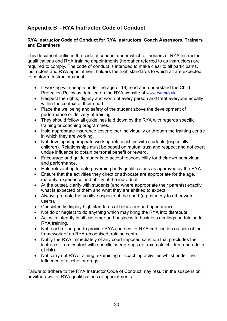# **Appendix B – RYA Instructor Code of Conduct**

## **RYA Instructor Code of Conduct for RYA Instructors, Coach Assessors, Trainers and Examiners**

This document outlines the code of conduct under which all holders of RYA instructor qualifications and RYA training appointments (hereafter referred to as instructors) are required to comply. The code of conduct is intended to make clear to all participants, instructors and RYA appointment holders the high standards to which all are expected to conform. Instructors must:

- If working with people under the age of 18, read and understand the Child Protection Policy as detailed on the RYA website at www.rya.org.uk
- Respect the rights, dignity and worth of every person and treat everyone equally within the context of their sport.
- Place the wellbeing and safety of the student above the development of performance or delivery of training.
- They should follow all guidelines laid down by the RYA with regards specific training or coaching programmes.
- Hold appropriate insurance cover either individually or through the training centre in which they are working.
- Not develop inappropriate working relationships with students (especially children). Relationships must be based on mutual trust and respect and not exert undue influence to obtain personal benefit or reward.
- Encourage and guide students to accept responsibility for their own behaviour and performance.
- Hold relevant up to date governing body qualifications as approved by the RYA.
- Ensure that the activities they direct or advocate are appropriate for the age, maturity, experience and ability of the individual.
- At the outset, clarify with students (and where appropriate their parents) exactly what is expected of them and what they are entitled to expect.
- Always promote the positive aspects of the sport (eg courtesy to other water users).
- Consistently display high standards of behaviour and appearance.
- Not do or neglect to do anything which may bring the RYA into disrepute.
- Act with integrity in all customer and business to business dealings pertaining to RYA training.
- Not teach or purport to provide RYA courses or RYA certification outside of the framework of an RYA recognised training centre
- Notify the RYA immediately of any court imposed sanction that precludes the instructor from contact with specific user groups (for example children and adults at risk).
- Not carry out RYA training, examining or coaching activities whilst under the influence of alcohol or drugs.

Failure to adhere to the RYA Instructor Code of Conduct may result in the suspension or withdrawal of RYA qualifications or appointments.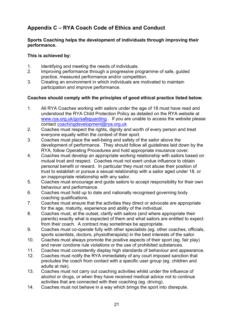# **Appendix C – RYA Coach Code of Ethics and Conduct**

## **Sports Coaching helps the development of individuals through improving their performance.**

## **This is achieved by:**

- 1. Identifying and meeting the needs of individuals.
- 2. Improving performance through a progressive programme of safe, guided practice, measured performance and/or competition.
- 3. Creating an environment in which individuals are motivated to maintain participation and improve performance.

# **Coaches should comply with the principles of good ethical practice listed below.**

- 1. All RYA Coaches working with sailors under the age of 18 must have read and understood the RYA Child Protection Policy as detailed on the RYA website at www.rya.org.uk/go/safeguarding . If you are unable to access the website please contact coachingdevelopment@rya.org.uk
- 2. Coaches must respect the rights, dignity and worth of every person and treat everyone equally within the context of their sport.
- 3. Coaches must place the well-being and safety of the sailor above the development of performance. They should follow all guidelines laid down by the RYA, follow Operating Procedures and hold appropriate insurance cover.
- 4. Coaches must develop an appropriate working relationship with sailors based on mutual trust and respect. Coaches must not exert undue influence to obtain personal benefit or reward. In particular they must not abuse their position of trust to establish or pursue a sexual relationship with a sailor aged under 18, or an inappropriate relationship with any sailor.
- 5. Coaches must encourage and guide sailors to accept responsibility for their own behaviour and performance.
- 6. Coaches must hold up to date and nationally recognised governing body coaching qualifications.
- 7. Coaches must ensure that the activities they direct or advocate are appropriate for the age, maturity, experience and ability of the individual.
- 8. Coaches must, at the outset, clarify with sailors (and where appropriate their parents) exactly what is expected of them and what sailors are entitled to expect from their coach. A contract may sometimes be appropriate.
- 9. Coaches must co-operate fully with other specialists (eg. other coaches, officials, sports scientists, doctors, physiotherapists) in the best interests of the sailor.
- 10. Coaches must always promote the positive aspects of their sport (eg. fair play) and never condone rule violations or the use of prohibited substances.
- 11. Coaches must consistently display high standards of behaviour and appearance.
- 12. Coaches must notify the RYA immediately of any court imposed sanction that precludes the coach from contact with a specific user group (eg. children and adults at risk).
- 13. Coaches must not carry out coaching activities whilst under the influence of alcohol or drugs, or when they have received medical advice not to continue activities that are connected with their coaching (eg. driving).
- 14. Coaches must not behave in a way which brings the sport into disrepute.